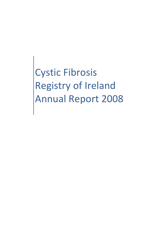Cystic Fibrosis Registry of Ireland Annual Report 2008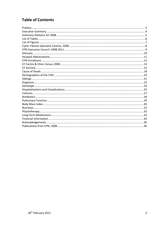# **Table of Contents**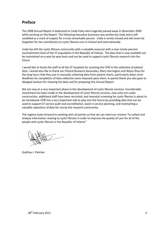### **Preface**

The 2008 Annual Report is dedicated to Linda Foley who tragically passed away in November 2009 while working on this Report. The following Executive Summary was written by Linda and is left unedited as a mark of respect for a truly remarkable person. Linda is sorely missed and will never be forgotten for her contribution to cystic fibrosis care in Ireland and internationally.

Linda has left the cystic fibrosis community with a valuable resource with a near ninety percent ascertainment level of the CF population in the Republic of Ireland. The data that is now available can be maintained on a year by year basis and can be used to support cystic fibrosis research into the future.

I would like to thank the staff at all the CF hospitals for assisting the CFRI in the collection of patient data. I would also like to thank our Clinical Research Associates, Mary Harrington and Shijun Zhou for the long hours that they put in manually collecting data from patient charts, particularly when strict deadlines for completion of data collection were imposed upon them. A special thank you also goes to Abaigeal Jackson for cleaning the data and for preparing this Annual Report.

We are now at a very important phase in the development of cystic fibrosis services. Considerable investment has been made in the development of cystic fibrosis services, new units are under construction, additional staff have been recruited, and neonatal screening for cystic fibrosis is about to be introduced. CFRI has a very important role to play into the future by providing data that can be used to support CF service audit and accreditation, assist in service planning, and maintaining a valuable repository of data for use by the research community.

The registry looks forward to working with all parties so that we can meet our mission "to collect and analyse information relating to cystic fibrosis in order to improve the quality of care for all of the people with cystic fibrosis in the Republic of Ireland."

Godfrey J. Fletcher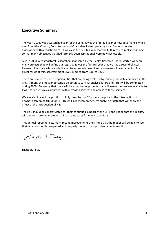### **Executive Summary**

The year, 2008, was a watershed year for the CFRI. It was the first full year of new governance with a new Executive Council, Constitution, and Charitable Status operating as an "unincorporated association with a constitution". It was also the first full year that the CFRI received realistic funding so that many objectives that had formerly been aspirational were now achievable.

Also in 2008, a Postdoctoral Researcher, sponsored by the Health Research Board, started work on many projects that will define our registry. It was the first full year that we had a second Clinical Research Associate who was dedicated to informed consent and enrolment of new patients. As a direct result of this, ascertainment levels jumped from 63% to 88%.

There are several research opportunities that are being explored by 'mining' the data contained in the CFRI. Among the most important is an accurate survival analysis for Ireland. This will be completed during 2009. Following that there will be a number of projects that will assess the services available to PWCF to see if survival improves with increased services and access to those services.

We are also in a unique position to fully describe our CF population prior to the introduction of newborn screening (NBS) for CF. This will allow comprehensive analysis of data that will show the effect of the introduction of NBS.

The HSE should be congratulated for their continued support of the CFRI and I hope that this registry will demonstrate the usefulness of such databases for many conditions.

This annual report reflects many recent improvements and I hope that the reader will be able to see that when a vision is recognised and properly funded, many positive benefits result.

Linda In. Folly

**Linda M. Foley**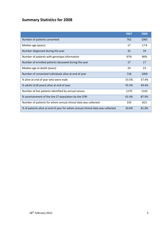# **Summary Statistics for 2008**

|                                                                                | 2007  | 2008  |
|--------------------------------------------------------------------------------|-------|-------|
| Number of patients consented                                                   | 762   | 1065  |
| Median age (years)                                                             | 17    | 17.9  |
| Number diagnosed during the year                                               | 32    | 19    |
| Number of patients with genotype information                                   | 97%   | 96%   |
| Number of enrolled patients deceased during the year                           | 17    | 17    |
| Median age at death (years)                                                    | 24    | 23    |
| Number of consented individuals alive at end of year                           | 718   | 1004  |
| % alive at end of year who were male                                           | 53.5% | 57.4% |
| % adults (≥18 years) alive at end of year                                      | 45.5% | 49.4% |
| Number of live patients identified by annual census                            | 1170  | 1142  |
| % ascertainment of the live CF population by the CFRI                          | 61.4% | 87.9% |
| Number of patients for whom annual clinical data was collected                 | 143   | 813   |
| % of patients alive at end of year for whom annual clinical data was collected | 20.6% | 81.0% |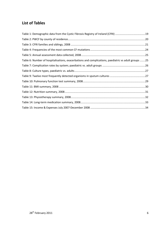## **List of Tables**

| Table 1: Demographic data from the Cystic Fibrosis Registry of Ireland (CFRI) 19                    |  |
|-----------------------------------------------------------------------------------------------------|--|
|                                                                                                     |  |
|                                                                                                     |  |
|                                                                                                     |  |
|                                                                                                     |  |
| Table 6: Number of hospitalisations, exacerbations and complications, paediatric vs adult groups 25 |  |
|                                                                                                     |  |
|                                                                                                     |  |
|                                                                                                     |  |
|                                                                                                     |  |
|                                                                                                     |  |
|                                                                                                     |  |
|                                                                                                     |  |
|                                                                                                     |  |
|                                                                                                     |  |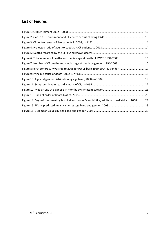# **List of Figures**

| Figure 6: Total number of deaths and median age at death of PWCF, 1994-2008 16                     |  |
|----------------------------------------------------------------------------------------------------|--|
| Figure 7: Number of CF deaths and median age at death by gender, 1994-200816                       |  |
| Figure 8: Birth cohort survivorship to 2008 for PWCF born 1980-2004 by gender17                    |  |
|                                                                                                    |  |
|                                                                                                    |  |
|                                                                                                    |  |
|                                                                                                    |  |
|                                                                                                    |  |
| Figure 14: Days of treatment by hospital and home IV antibiotics, adults vs. paediatrics in 200828 |  |
|                                                                                                    |  |
|                                                                                                    |  |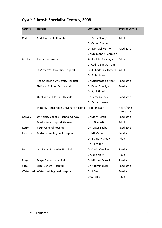# **Cystic Fibrosis Specialist Centres, 2008**

| <b>County</b> | <b>Hospital</b>                         | <b>Consultant</b>       | <b>Type of Centre</b>    |
|---------------|-----------------------------------------|-------------------------|--------------------------|
| Cork          | <b>Cork University Hospital</b>         | Dr Barry Plant /        | Adult                    |
|               |                                         | Dr Cathal Bredin        |                          |
|               |                                         | Dr. Michael Henry/      | Paediatric               |
|               |                                         | Dr Muireann ní Chroínín |                          |
| Dublin        | <b>Beaumont Hospital</b>                | Prof NG McElvaney /     | Adult                    |
|               |                                         | Dr Cedric Gunaratnam    |                          |
|               | St Vincent's University Hospital        | Prof Charles Gallagher/ | Adult                    |
|               |                                         | Dr Ed McKone            |                          |
|               | The Children's University Hospital      | Dr Dubhfeasa Slattery   | Paediatric               |
|               | National Children's Hospital            | Dr Peter Greally /      | Paediatric               |
|               |                                         | Dr Basil Elnazir        |                          |
|               | Our Lady's Children's Hospital          | Dr Gerry Canny /        | Paediatric               |
|               |                                         | Dr Barry Linnane        |                          |
|               | Mater Misericordiae University Hospital | Prof Jim Egan           | Heart/lung<br>transplant |
| Galway        | University College Hospital Galway      | Dr Mary Herzig          | Paediatric               |
|               | Merlin Park Hospital, Galway            | Dr JJ Gilmartin         | Adult                    |
| Kerry         | Kerry General Hospital                  | Dr Fergus Leahy         | Paediatric               |
| Limerick      | Midwestern Regional Hospital            | Dr MJ Mahony            | Paediatric               |
|               |                                         | Dr Eithne Mulloy /      | Adult                    |
|               |                                         | Dr TH Peirce            |                          |
| Louth         | Our Lady of Lourdes Hospital            | Dr David Vaughan        | Paediatric               |
|               |                                         | Dr John Kiely           | Adult                    |
| Mayo          | Mayo General Hospital                   | Dr Michael O'Neill      | Paediatric               |
| Sligo         | Sligo General Hospital                  | Dr R Tummaluru          | Paediatric               |
| Waterford     | Waterford Regional Hospital             | Dr A Das                | Paediatric               |
|               |                                         | Dr S Foley              | Adult                    |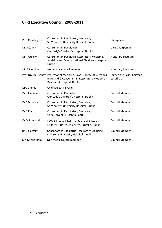### **CFRI Executive Council: 2008-2011**

| Prof C Gallagher | Consultant in Respiratory Medicine,<br>St. Vincent's University Hospital, Dublin                                                                   | Chairperson                            |
|------------------|----------------------------------------------------------------------------------------------------------------------------------------------------|----------------------------------------|
| Dr G Canny       | Consultant in Paediatrics,<br>Our Lady's Children's Hospital, Dublin                                                                               | Vice-Chairperson                       |
| Dr P Greally     | Consultant in Paediatric Respiratory Medicine,<br>Adelaide and Meath National Children's Hospital,<br>Dublin                                       | <b>Honorary Secretary</b>              |
| Mr G Fletcher    | Non medic council member                                                                                                                           | <b>Honorary Treasurer</b>              |
|                  | Prof NG McElvaney Professor of Medicine, Royal College of Surgeons<br>in Ireland & Consultant in Respiratory Medicine<br>Beaumont Hospital, Dublin | Immediate Past Chairman,<br>ex-officio |
| Mrs L Foley      | Chief Executive, CFRI                                                                                                                              |                                        |
| Dr B Linnane     | Consultant in Paediatrics,<br>Our Lady's Children's Hospital, Dublin                                                                               | <b>Council Member</b>                  |
| Dr E McKone      | Consultant in Respiratory Medicine,<br>St. Vincent's University Hospital, Dublin                                                                   | <b>Council Member</b>                  |
| Dr B Plant       | Consultant in Respiratory Medicine,<br>Cork University Hospital, Cork                                                                              | <b>Council Member</b>                  |
| Dr M Rowland     | UCD School of Medicine, Medical Sciences,<br>Children's Research Centre, Crumlin, Dublin                                                           | <b>Council Member</b>                  |
| Dr D Slattery    | Consultant in Paediatric Respiratory Medicine,<br>Children's University Hospital, Dublin                                                           | <b>Council Member</b>                  |
| Mr. M Wickham    | Non medic council member                                                                                                                           | <b>Council Member</b>                  |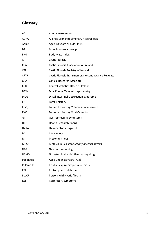## **Glossary**

| AA                | <b>Annual Assessment</b>                            |
|-------------------|-----------------------------------------------------|
| ABPA              | Allergic Bronchopulmonary Aspergillosis             |
| Adult             | Aged 18 years or older $(218)$                      |
| <b>BAL</b>        | Bronchoalveolar lavage                              |
| <b>BMI</b>        | <b>Body Mass Index</b>                              |
| <b>CF</b>         | <b>Cystic Fibrosis</b>                              |
| <b>CFAI</b>       | <b>Cystic Fibrosis Association of Ireland</b>       |
| <b>CFRI</b>       | Cystic Fibrosis Registry of Ireland                 |
| <b>CFTR</b>       | Cystic Fibrosis Transmembrane conductance Regulator |
| <b>CRA</b>        | <b>Clinical Research Associate</b>                  |
| <b>CSO</b>        | <b>Central Statistics Office of Ireland</b>         |
| <b>DEXA</b>       | Dual Energy X-ray Absorptiometry                    |
| <b>DIOS</b>       | Distal Intestinal Obstruction Syndrome              |
| <b>FH</b>         | Family history                                      |
| FEV <sub>1</sub>  | Forced Expiratory Volume in one second              |
| <b>FVC</b>        | Forced expiratory Vital Capacity                    |
| GI                | Gastrointestinal symptoms                           |
| <b>HRB</b>        | <b>Health Research Board</b>                        |
| H <sub>2</sub> RA | H2-receptor antagonists                             |
| IV                | Intravenous                                         |
| MI                | Meconium ileus                                      |
| <b>MRSA</b>       | Methicillin Resistant Staphylococcus aureus         |
| <b>NBS</b>        | Newborn screening                                   |
| NSAID             | Non-steroidal anti-inflammatory drug                |
| Paediatric        | Aged under 18 years (<18)                           |
| PEP mask          | Positive expiratory pressure mask                   |
| PPI               | Proton pump inhibitors                              |
| <b>PWCF</b>       | Persons with cystic fibrosis                        |
| <b>RESP</b>       | Respiratory symptoms                                |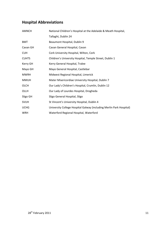## **Hospital Abbreviations**

| <b>AMNCH</b> | National Children's Hospital at the Adelaide & Meath Hospital,      |
|--------------|---------------------------------------------------------------------|
|              | Tallaght, Dublin 24                                                 |
| <b>BMT</b>   | Beaumont Hospital, Dublin 9                                         |
| Cavan GH     | Cavan General Hospital, Cavan                                       |
| <b>CUH</b>   | Cork University Hospital, Wilton, Cork                              |
| <b>CUHTS</b> | Children's University Hospital, Temple Street, Dublin 1             |
| Kerry GH     | Kerry General Hospital, Tralee                                      |
| Mayo GH      | Mayo General Hospital, Castlebar                                    |
| <b>MWRH</b>  | Midwest Regional Hospital, Limerick                                 |
| <b>MMUH</b>  | Mater Misericordiae University Hospital, Dublin 7                   |
| OLCH         | Our Lady's Children's Hospital, Crumlin, Dublin 12                  |
| OLLH         | Our Lady of Lourdes Hospital, Drogheda                              |
| Sligo GH     | Sligo General Hospital, Sligo                                       |
| <b>SVUH</b>  | St Vincent's University Hospital, Dublin 4                          |
| <b>UCHG</b>  | University College Hospital Galway (including Merlin Park Hospital) |
| <b>WRH</b>   | Waterford Regional Hospital, Waterford                              |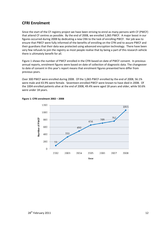### **CFRI Enrolment**

Since the start of the CF registry project we have been striving to enrol as many persons with CF (PWCF) that attend CF centres as possible. By the end of 2008, we enrolled 1,065 PWCF. A major boost in our figures occurred during 2008 by dedicating a new CRA to the task of enrolling PWCF. Her job was to ensure that PWCF were fully informed of the benefits of enrolling on the CFRI and to assure PWCF and their guardians that their data was protected using advanced encryption technology. There have been very few refusals to join the registry as most people realise that by being a part of this research vehicle there is ultimately benefit for all.

Figure 1 shows the number of PWCF enrolled in the CFRI based on date of PWCF consent. In previous annual reports, enrolment figures were based on date of collection of diagnostic data. The changeover to date of consent in this year's report means that enrolment figures presented here differ from previous years.

Over 300 PWCF were enrolled during 2008. Of the 1,065 PWCF enrolled by the end of 2008, 56.1% were male and 43.9% were female. Seventeen enrolled PWCF were known to have died in 2008. Of the 1004 enrolled patients alive at the end of 2008, 49.4% were aged 18 years and older, while 50.6% were under 18 years.



#### **Figure 1: CFRI enrolment 2002 – 2008**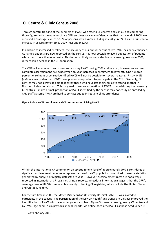### **CF Centre & Clinic Census 2008**

Through careful tracking of the numbers of PWCF who attend CF centres and clinics, and comparing those figures with the number of live CFRI enrolees we can confidently say that by the end of 2008, we achieved a coverage level of 87.9% of persons with a known CF diagnosis (Figure 2). This is a substantial increase in ascertainment since 2007 (just under 62%).

In addition to increased enrolment, the accuracy of our annual census of live PWCF has been enhanced. As named patients are now reported on the census, it is now possible to avoid duplication of patients who attend more than one centre. This has most likely caused a decline in census figures since 2006, rather than a decline in the CF population.

The CFRI will continue to enrol new and existing PWCF during 2009 and beyond, however as we near complete ascertainment, we expect year-on-year increases in enrolment to level off. One hundred percent enrolment of census-identified PWCF will not be possible for several reasons. Firstly, 0.8% (n=8) of census-identified PWCF have previously opted not to participate in the CFRI. Secondly, CF centres may not always be able to identify those who have left their service to attend another in Northern Ireland or abroad. This may lead to an overestimation of PWCF counted during the census by CF centres. Finally, a small proportion of PWCF identified by the census may not easily be enrolled by CFRI staff as some PWCF are hard to contact due to infrequent clinic attendance.



#### **Figure 2: Gap in CFRI enrolment and CF centre census of living PWCF**

Within the international CF community, an ascertainment level of approximately 90% is considered a significant achievement. Adequate representation of the CF population is required to ensure statistics generated by analysis of registry datasets are valid. However, ascertainment rates are not always reported in international CF registries' annual reports. Anecdotal information suggests that the CFRI's coverage level of 87.9% compares favourably to leading CF registries, which include the United States and United Kingdom.

For the first time in 2008, the Mater Misericordiae University Hospital (MMUH) was invited to participate in the census. The participation of the MMUH health/lung transplant unit has improved the identification of PWCF who have undergone transplant. Figure 3 shows census figures by CF centre and by PWCF age band. As in previous annual reports, we define paediatric PWCF as those aged under 18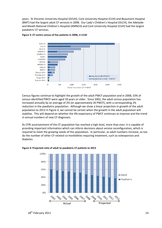years. St Vincents University Hospital (SVUH), Cork University Hospital (CUH) and Beaumont Hospital (BMT) had the largest adult CF services in 2008. Our Lady's Children's Hospital (OLCH), the Adelaide and Meath National Children's Hospital (AMNCH) and Cork University Hospital (CUH) had the largest paediatric CF services.



#### **Figure 3: CF centre census of live patients in 2008, n=1142**

Census figures continue to highlight the growth of the adult PWCF population and in 2008, 53% of census-identified PWCF were aged 18 years or older. Since 2002, the adult census population has increased annually by an average of 2% (or approximately 20 PWCF), with a corresponding 2% reduction in the paediatric population. Although we show a linear projection in growth of the adult population to 2013 in Figure 4, we cannot be certain when the growth in the adult population will stabilise. This will depend on whether the life expectancy of PWCF continues to improve and the trend in annual numbers of new CF diagnoses.

As CFRI ascertainment of the CF population has reached a high level, more than ever, it is capable of providing important information which can inform decisions about service reconfiguration, which is required to meet the growing needs of this population. In particular, as adult numbers increase, so too do the number of other CF-related co-morbidities requiring treatment, such as osteoporosis and diabetes.



#### **Figure 4: Projected ratio of adult to paediatric CF patients to 2013**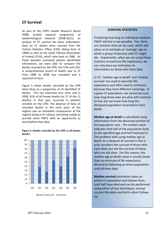### **CF Survival**

As part of the CFRI's Health Research Board (HRB) funded research programme of epidemiological research (2008-2011), an analysis of CF survival has been undertaken. Data on CF deaths were sourced from the Central Statistics Office (CSO) dating back to 1980) as well as the Cystic Fibrosis Association of Ireland (CFAI), which date back to 1986. As these datasets contained patient identifiable information, we were able to compare the deaths recorded by the CFRI, the CFAI and CSO. A comprehensive record of deaths due to CF from 1980 to 2008 was compiled and is reported on here.

Figure 5 shows deaths recorded by the CFRI (dark blue) as a proportion of all identified CF deaths. This has improved over time, and in 2008, 81% of all known deaths (or 17 of the 21 deaths) in that year occurred in patients enrolled on the CFRI. The absence of data on recorded deaths in the early years of the registry was an inevitable consequence of the registry being in its infancy, and being unable to provide some PWCF with an opportunity to enrol before they died.

#### **Figure 5: Deaths recorded by the CFRI vs all known deaths.**



### **SURVIVAL STATISTICS**

Predicting how long an individual newborn PWCF will live is not possible. Yet, there are statistics that can be used, which will allow us to estimate an 'average' age at which a group of persons with CF might die. Importantly, when we are using these statistics to examine life expectancy, we can only base our estimates on information on those who have died.

In CF, 'median age at death' and 'median survival' are used to describe life expectancy and often lead to confusion because they have different meanings. In a given CF population, we cannot be sure how long those who are alive will continue to live, but we know how long the deceased population lived before their death.

**Median age at death** is calculated using information from the deceased portion of the population only. The median value indicates that half of the population lived to the specified age and half lived past it. The problem with using median age at death as a measure of survival is that it only considers the survival of those who have died, but not the survival of those who are still alive. For this reason, the median age at death value is usually lower than an estimate of life expectancy derived by following an entire population until all have died.

**Median survival** estimation takes an entire CF population and follows them until half have died and can be performed using either of two techniques; annual current lifetables and birth cohort followup.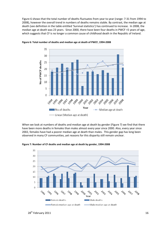Figure 6 shows that the total number of deaths fluctuates from year to year (range: 7-31 from 1994 to 2008), however the overall trend in numbers of deaths remains stable. By contrast, the median age at death (see definition in the table entitled 'Survival statistics') has continued to increase. In 2008, the median age at death was 23 years. Since 2000, there have been four deaths in PWCF <5 years of age, which suggests that CF is no longer a common cause of childhood death in the Republic of Ireland.



**Figure 6: Total number of deaths and median age at death of PWCF, 1994-2008** 

When we look at numbers of deaths and median age at death by gender (Figure 7) we find that there have been more deaths in females than males almost every year since 2000. Also, every year since 2002, females have had a poorer median age at death than males. This gender gap has long been observed in many CF communities, yet reasons for this disparity still remain unclear.

**Figure 7: Number of CF deaths and median age at death by gender, 1994-2008** 

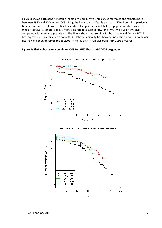Figure 8 shows birth cohort lifetable (Kaplan-Meier) survivorship curves for males and females born between 1980 and 2004 up to 2008. Using the birth cohort lifeable approach, PWCF born in a particular time period can be followed until all have died. The point at which half the population die is called the median survival estimate, and is a more accurate measure of how long PWCF will live on average, compared with median age at death. The Figure shows that survival for both male and female PWCF has improved in succesive birth cohorts. Childhood mortality has become increasingly rare. Also, fewer deaths have been observed (up to 2008) in males than in females born from 1995 onwards.



#### **Figure 8: Birth cohort survivorship to 2008 for PWCF born 1980-2004 by gender**



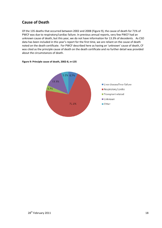### **Cause of Death**

Of the 135 deaths that occurred between 2002 and 2008 (Figure 9), the cause of death for 71% of PWCF was due to respiratory/cardiac failure. In previous annual reports, very few PWCF had an unknown cause of death, but this year, we do not have information for 13.3% of decedents. As CSO data has been included in this year's report for the first time, we are reliant on the cause of death noted on the death certificate. For PWCF described here as having an 'unknown' cause of death, CF was cited as the principle cause of death on the death certificate and no further detail was provided about the circumstances of death.



#### **Figure 9: Principle cause of death, 2002-8, n=135**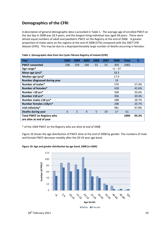### **Demographics of the CFRI**

A description of general demographic data is provided in Table 1. The average age of enrolled PWCF on the last day in 2008 was 18.3 years, and the longest living individual was aged 58 years. There were almost equal numbers of adult and paediatric PWCF on the Registry at the end of 2008. A greater proportion of males were on the registry at the end of 2008 (57%) compared with the 2007 CFRI dataset (54%). This may be due to a disproportionately large number of deaths occurring in females.

| Year                                                          | 2003 | 2004 | 2005 | 2006 | 2007 | 2008      | <b>Total</b> | %     |
|---------------------------------------------------------------|------|------|------|------|------|-----------|--------------|-------|
| <b>PWCF consented</b>                                         | 238  | 159  | 166  | 53   | 53   | 303       | 1065         |       |
| Age range*                                                    |      |      |      |      |      | $<1 - 57$ |              |       |
| Mean age (yrs)*                                               |      |      |      |      |      | 18.3      |              |       |
| Median age (yrs)*                                             |      |      |      |      |      | 17.9      |              |       |
| Number diagnosed during year                                  |      |      |      |      |      | 19        |              |       |
| Number of males*                                              |      |      |      |      |      | 576       |              | 57.4% |
| Number of females*                                            |      |      |      |      |      | 428       |              | 42.6% |
| Number <18 yrs*                                               |      |      |      |      |      | 508       |              | 50.6% |
| Number ≥18 yrs*                                               |      |      |      |      |      | 496       |              | 49.4% |
| Number males ≥18 yrs*                                         |      |      |      |      |      | 288       |              | 28.7% |
| Number females ≥18yrs*                                        |      |      |      |      |      | 208       |              | 20.7% |
| Irish ethnicity*                                              |      |      |      |      |      | 981       |              | 97.8% |
| <b>Deaths during year</b>                                     | 6    | 5    | 9    | 5    | 19   | 17        | 61           |       |
| <b>Total PWCF on Registry who</b><br>are alive at end of year |      |      |      |      |      |           | 1004         | 94.3% |

| Table 1: Demographic data from the Cystic Fibrosis Registry of Ireland (CFRI) |  |  |
|-------------------------------------------------------------------------------|--|--|
|                                                                               |  |  |

\* of the 1004 PWCF on the Registry who are alive at end of 2008

Figure 10 shows the age distribution of PWCF alive at the end of 2008 by gender. The numbers of male and female PWCF decrease notably after the 20-24 year age band.

#### **Figure 10: Age and gender distribution by age band, 2008 (n=1004)**

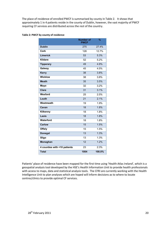The place of residence of enrolled PWCF is summarised by county in Table 2. It shows that approximately 1 in 4 patients reside in the county of Dublin, however, the vast majority of PWCF requiring CF services are distributed across the rest of the country.

| Table 2: PWCF by county of residence |  |  |
|--------------------------------------|--|--|
|--------------------------------------|--|--|

|                              | <b>Number of</b><br><b>PWCF</b> | %      |
|------------------------------|---------------------------------|--------|
| <b>Dublin</b>                | 275                             | 27.4%  |
| Cork                         | 128                             | 12.7%  |
| Limerick                     | 53                              | 5.3%   |
| <b>Kildare</b>               | 52                              | 5.2%   |
| <b>Tipperary</b>             | 49                              | 4.9%   |
| Galway                       | 45                              | 4.5%   |
| <b>Kerry</b>                 | 38                              | 3.8%   |
| <b>Wicklow</b>               | 38                              | 3.8%   |
| <b>Meath</b>                 | 35                              | 3.5%   |
| Mayo                         | 32                              | 3.2%   |
| <b>Clare</b>                 | 31                              | 3.1%   |
| Wexford                      | 25                              | 2.5%   |
| Louth                        | 21                              | 2.1%   |
| Westmeath                    | 19                              | 1.9%   |
| Cavan                        | 18                              | 1.8%   |
| Kilkenny                     | 18                              | 1.8%   |
| Laois                        | 18                              | 1.8%   |
| <b>Waterford</b>             | 18                              | 1.8%   |
| Carlow                       | 15                              | 1.5%   |
| <b>Offaly</b>                | 15                              | 1.5%   |
| <b>Donegal</b>               | $\overline{13}$                 | 1.3%   |
| Sligo                        | 13                              | 1.3%   |
| Monaghan                     | 12                              | 1.2%   |
| 4 counties with <10 patients | 23                              | 2.3%   |
| <b>Total</b>                 | 1004                            | 100.0% |

Patients' place of residence have been mapped for the first time using 'Health Atlas Ireland', which is a geospatial analysis tool developed by the HSE's Health Information Unit to provide health professionals with access to maps, data and statistical analysis tools. The CFRI are currently working with the Health Intelligence Unit to plan analyses which are hoped will inform decisions as to where to locate centres/clinics to provide optimal CF services.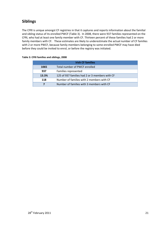## **Siblings**

The CFRI is unique amongst CF registries in that it captures and reports information about the familial and sibling status of its enrolled PWCF (Table 3). In 2008, there were 937 families represented on the CFRI, who had at least one family member with CF. Thirteen percent of these families had 2 or more family members with CF. These estimates are likely to underestimate the actual number of CF families with 2 or more PWCF, because family members belonging to some enrolled PWCF may have died before they could be invited to enrol, or before the registry was initiated.

| <b>Irish CF families</b> |                                                |  |  |  |
|--------------------------|------------------------------------------------|--|--|--|
| 1065                     | Total number of PWCF enrolled                  |  |  |  |
| 937                      | Families represented                           |  |  |  |
| 13.3%                    | 125 of 937 families had 2 or 3 members with CF |  |  |  |
| 118                      | Number of families with 2 members with CF      |  |  |  |
| 7                        | Number of families with 3 members with CF      |  |  |  |

### **Table 3: CFRI families and siblings, 2008**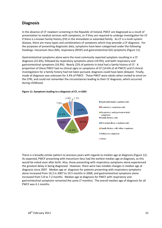### **Diagnosis**

In the absence of CF newborn screening in the Republic of Ireland, PWCF are diagnosed as a result of presentation to medical services with symptoms, or if they are required to undergo investigation for CF if there is a known family history (FH) in the immediate or extended family. As CF is a multi-system disease, there are many types and combinations of symptoms which may precede a CF diagnosis. For the purposes of presenting diagnostic data, symptoms have been categorised under the following headings: meconium ileus (MI), respiratory (RESP) and gastrointestinal (GI) symptoms (Figure 11).

Gastrointestinal symptoms alone were the most commonly reported symptom resulting in a CF diagnosis (22.6%), followed by respiratory symptoms alone (19.9%), and both respiratory and gastrointestinal symptoms (16.9%). Nearly 22% of patients in total had a family history of CF. A proportion of these PWCF had no clinical signs or symptoms of CF (14.6% of all PWCF) and if clinical investigations for a family history had not been pursued, diagnosis could have been delayed. Finally, mode of diagnosis was unknown for 3.4% of PWCF. These PWCF were adults when invited to enrol on the CFRI, and could not remember the circumstances leading to their CF diagnosis, which occurred during childhood.



#### **Figure 11: Symptoms leading to a diagnosis of CF, n=1065**

There is a broadly similar pattern to previous years with regards to median age at diagnosis (Figure 12). As expected, PWCF presenting with meconium ileus had the earliest median age at diagnosis, as this would be noted soon after birth. Also, those presenting with respiratory symptoms alone experienced the greatest delay in being diagnosed. However, there were two notable changes in median age at diagnosis since 2007. Median age at diagnosis for patients presenting with respiratory symptoms alone increased from 16.3 in 2007 to 19.5 months in 2008, and gastrointestinal symptoms alone increased from 5.8 to 7.2 months. Median age at diagnosis for PWCF with respiratory and gastrointestinal symptoms remained the same (7 months). The overall median age of diagnosis for all PWCF was 4.1 months.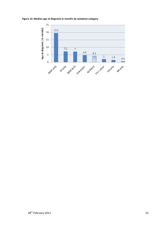**Figure 12: Median age at diagnosis in months by symptom category** 

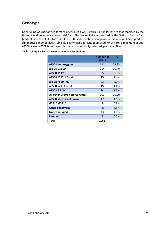### **Genotype**

Genotyping was performed for 96% of enrolled PWCF, which is a similar rate to that reported by the United Kingdom in the same year (93.7%). The range of alleles detected by the National Centre for Medical Genetics at Our Lady's Children's Hospital continues to grow, so this year we have opted to summarise genotype data (Table 4). Eighty-eight percent of enrolled PWCF carry a minimum of one ∆F508 allele. ∆F508 homozygous is the most commonly detected genotype (58%).

|                               | <b>Number of</b><br><b>PWCF</b> | ℅       |
|-------------------------------|---------------------------------|---------|
| ΔF508 homozygous              | 621                             | 58.3%   |
| <b>AF508 G551D</b>            | 114                             | 10.7%   |
| <b>AF508 R117H</b>            | 35                              | 3.3%    |
| ΔF508 1717-1 G-->A            | 15                              | 1.4%    |
| ΔF508 R560 T/K                | 23                              | 2.2%    |
| ΔF508 621+1 G-->T             | 15                              | 1.4%    |
| <b>AF508 G542X</b>            | 14                              | 1.3%    |
| All other ΔF508 heterozygotes | 107                             | 10.0%   |
| ΔF508 allele 2 unknown        | 17                              | 1.6%    |
| G551D G551D                   | 8                               | $0.8\%$ |
| <b>Other genotypes</b>        | 48                              | 4.5%    |
| Not genotyped                 | 43                              | 4.0%    |
| <b>Pending</b>                | 5                               | 0.5%    |
| Total                         | 1065                            |         |

### **Table 4: Frequencies of the most common CF mutations**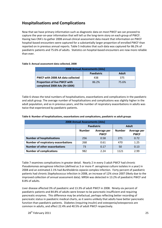### **Hospitalisations and Complications**

Now that we have primary information such as diagnostic data on most PWCF we can proceed to capture the year-on-year information that will tell us the long-term story on each group of PWCF. Having two CRA's to gather 2008 annual clinical assessment data meant that information on PWCF hospital-based encounters were captured for a substantially larger proportion of enrolled PWCF than reported on in previous annual reports. Table 5 indicates that such data was captured for 86.2% of paediatric patients and 75.6% of adults. Statistics on hospital-based encounters are now more reliable than ever.

### **Table 5: Annual assessment data collected, 2008**

| <b>2008 Annual Assessments (AAs)</b>                               |       |       |  |  |  |
|--------------------------------------------------------------------|-------|-------|--|--|--|
| <b>Adult</b><br>Paediatric                                         |       |       |  |  |  |
| <b>PWCF with 2008 AA data collected</b>                            | 438   | 375   |  |  |  |
| <b>Proportion of live PWCF with</b><br>completed 2008 AAs (N=1004) | 86.2% | 75.6% |  |  |  |

Table 6 shows the total numbers of hospitalisations, exacerbations and complications in the paediatric and adult group. The average number of hospitalisations and complications was slightly higher in the adult population, and as in previous years, and the number of respiratory exacerbations in adults was twice that experienced by paediatric patients.

| <b>2008 Annual Assessments (AAs)</b>       |                                   |                            |               |                            |  |
|--------------------------------------------|-----------------------------------|----------------------------|---------------|----------------------------|--|
|                                            | <b>Paediatric</b><br><b>Adult</b> |                            |               |                            |  |
|                                            | <b>Number</b>                     | Average per<br><b>PWCF</b> | <b>Number</b> | Average per<br><b>PWCF</b> |  |
| <b>Number of hospitalisations</b>          | 256                               | 0.58                       | 271           | 0.72                       |  |
| <b>Number of respiratory exacerbations</b> | 268                               | 470                        | 1.25          |                            |  |
| <b>Number of other exacerbations</b>       | 73<br>0.17<br>0.13<br>50          |                            |               |                            |  |
| <b>Number of complications</b>             | 982                               | 2.24                       | 1121          | 2.99                       |  |

#### **Table 6: Number of hospitalisations, exacerbations and complications, paediatric vs adult groups**

Table 7 examines complications in greater detail. Nearly 2 in every 3 adult PWCF had chronic *Pseudomonas aeruginosa* infection (defined as 3 or more *P. aeruginosa* culture isolates in a year) in 2008 and an estimated 2.1% had *Burkholderia cepacia* complex infection. Forty percent of paediatric patients had chronic *Staphylococcus* infection in 2008, an increase of 12% since 2007 (likely due to the improved collection of annual assessment data). MRSA was detected in 13.2% of paediatric PWCF and 8.8% of adults.

Liver disease affected 3% of paediatric and 13.3% of adult PWCF in 2008. Ninety-six percent of paediatric patients and 84.8% of adults were known to be pancreatic insufficient and requiring pancreatic enzymes. This difference may be artefactual, perhaps reflecting better recording of pancreatic status in paediatric medical charts, as it seems unlikely that adults have better pancreatic function than paediatric patients. Diabetes (requiring insulin) and osteopenia/osteoporosis are common in adults, and affect 22.4% and 40.5% of adult PWCF respectively.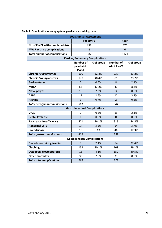### **Table 7: Complication rates by system; paediatric vs. adult groups**

| <b>2008 Annual Assessment</b>        |                                                             |       |                                |            |  |
|--------------------------------------|-------------------------------------------------------------|-------|--------------------------------|------------|--|
|                                      | <b>Paediatric</b>                                           |       | <b>Adult</b>                   |            |  |
| No of PWCF with completed AAs        | 438                                                         |       | 375                            |            |  |
| <b>PWCF with no complications</b>    | $\overline{4}$                                              |       | 6                              |            |  |
| <b>Total number of complications</b> | 982                                                         |       | 1121                           |            |  |
|                                      | <b>Cardiac/Pulmonary Complications</b>                      |       |                                |            |  |
|                                      | <b>Number of</b><br>% of group<br>paediatric<br><b>PWCF</b> |       | <b>Number of</b><br>adult PWCF | % of group |  |
| <b>Chronic Pseudomonas</b>           | 100                                                         | 22.8% | 237                            | 63.2%      |  |
| <b>Chronic Staphylococcus</b>        | 177                                                         | 40.4% | 89                             | 23.7%      |  |
| <b>Burkholderia</b>                  | $\overline{2}$                                              | 0.5%  | 8                              | 2.1%       |  |
| <b>MRSA</b>                          | 58                                                          | 13.2% | 33                             | 8.8%       |  |
| <b>Nasal polyps</b>                  | 10                                                          | 2.3%  | $\overline{3}$                 | 0.8%       |  |
| <b>ABPA</b>                          | 11                                                          | 2.5%  | 12                             | 3.2%       |  |
| <b>Asthma</b>                        | 3                                                           | 0.7%  | $\overline{2}$                 | 0.5%       |  |
| <b>Total card/pulm complications</b> | 361                                                         |       | 384                            |            |  |
|                                      | <b>Gastrointestinal Complications</b>                       |       |                                |            |  |
| <b>DIOS</b>                          | $\overline{2}$                                              | 0.5%  | 8                              | 2.1%       |  |
| <b>Rectal Prolapse</b>               | $\overline{0}$                                              | 0.0%  | $\overline{0}$                 | 0.0%       |  |
| <b>Pancreatic Insufficiency</b>      | 421                                                         | 96.1% | 318                            | 84.8%      |  |
| <b>Abnormal LFTs</b>                 | 14                                                          | 3.2%  | 14                             | 3.7%       |  |
| Liver disease                        | 13                                                          | 3%    | 46                             | 12.3%      |  |
| <b>Total gastro complications</b>    | 429                                                         |       | 359                            |            |  |
|                                      | <b>Miscellaneous Complications</b>                          |       |                                |            |  |
| <b>Diabetes requiring insulin</b>    | 9                                                           | 2.1%  | 84                             | 22.4%      |  |
| Clubbing                             | 132                                                         | 30.1% | 109                            | 29.1%      |  |
| Osteopenia/osteoporosis              | 18                                                          | 4.1%  | 152                            | 40.5%      |  |
| <b>Other morbidity</b>               | 33                                                          | 7.5%  | 33                             | 8.8%       |  |
| <b>Total misc complications</b>      | 192                                                         |       | 378                            |            |  |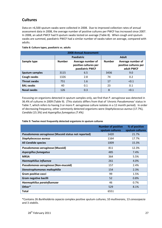## **Cultures**

Data on >6,500 sputum swabs were collected in 2008. Due to improved collection rates of annual assessment data in 2008, the average number of positive cultures per PWCF has increased since 2007. In 2008, an adult PWCF had 9 sputum swabs tested on average (Table 8). When cough and sputum swabs are summed, paediatric PWCF had a similar number of swabs taken on average, compared with adults.

### **Table 8: Culture types, paediatric vs. adults**

| <b>2008 Annual Assessment</b> |               |                                                               |      |                                                          |  |  |
|-------------------------------|---------------|---------------------------------------------------------------|------|----------------------------------------------------------|--|--|
|                               |               | <b>Paediatric</b>                                             |      | <b>Adult</b>                                             |  |  |
| Sample type                   | <b>Number</b> | Average number of<br>positive cultures per<br>paediatric PWCF |      | Average number of<br>positive cultures per<br>adult PWCF |  |  |
| <b>Sputum samples</b>         | 3115          | 6.5                                                           | 3436 | 9.0                                                      |  |  |
| Cough swabs                   | 1326          | 2.8                                                           | 74   | 0.2                                                      |  |  |
| <b>Throat swabs</b>           | 751           | 1.6                                                           | 17   | < 0.1                                                    |  |  |
| <b>BAL swabs</b>              | 40            | 0.1                                                           | 23   | 0.1                                                      |  |  |
| Nasal swabs                   | 126           | 0.3                                                           | 8    | < 0.1                                                    |  |  |

Focussing on organisms detected in sputum samples only, we find that *P. aeruginosa* was detected in 36.4% of cultures in 2009 (Table 9). (This statistic differs from that of 'chronic *Pseudomonas'* status in Table 7, which refers to having 3 or more *P. aeruginosa* culture isolates in a 12 month period). In order of decreasing frequency, other commonly detected organisms were *Staphylococcus aureus* (17.7%), *Candida* (15.3*%)* and *Aspergillus fumagatus (7.4%).* 

### **Table 9: Twelve most frequently detected organisms in sputum cultures**

|                                                     | <b>Number of positive</b><br>sputum cultures | % of positive<br>sputum cultures |
|-----------------------------------------------------|----------------------------------------------|----------------------------------|
| Pseudomonas aeruginosa (Mucoid status not reported) | 1420                                         | 21.7%                            |
| <b>Staphylococcus aureus</b>                        | 1164                                         | 17.7%                            |
| All Candida species                                 | 1009                                         | 15.3%                            |
| Pseudomonas aeruginosa (Mucoid)                     | 811                                          | 12.3%                            |
| <b>Aspergillus fumagatus</b>                        | 485                                          | 7.4%                             |
| <b>MRSA</b>                                         | 364                                          | 5.5%                             |
| <b>Haemophilius influenza</b>                       | 261                                          | 4.0%                             |
| Pseudomonas aeruginosa (Non-mucoid)                 | 157                                          | 2.4%                             |
| Stenotrophomonas maltophilia                        | 154                                          | 2.3%                             |
| Gram positive cocci                                 | 99                                           | 1.5%                             |
| Gram negative bacilli                               | 52                                           | 0.8%                             |
| Haemophilius parainfluenzae                         | 46                                           | 0.7%                             |
| Other*                                              | 529                                          | 8.1%                             |
| <b>Total</b>                                        | 6551                                         |                                  |

\*Contains 26 *Burkholderia cepacia* complex positive sputum cultures; 10 *multivorans*, 13 *cenocepacia* and 3 *stabilis*.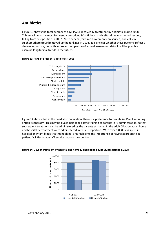### **Antibiotics**

Figure 13 shows the total number of days PWCF received IV treatment by antibiotic during 2008. Tobramycin was the most frequently prescribed IV antibiotic, and ceftazidime was ranked second, falling from first position in 2007. Meropenem (third most commonly prescribed) and colistin sulphomethate (fourth) moved up the rankings in 2008. It is unclear whether these patterns reflect a change in practice, but with improved completion of annual assessment data, it will be possible to examine longitudinal trends in the future.



#### **Figure 13: Rank of order of IV antibiotics, 2008**

Figure 14 shows that in the paediatric population, there is a preference to hospitalise PWCF requiring antibiotic therapy. This may be due in part to facilitate training of parents in IV administration, so that subsequent treatment can be administered by the parents at home. In the adult CF population, home and hospital IV treatment were administered in equal proportion. With over 8,000 days spent in hospital on IV antibiotic treatment alone, t his highlights the importance of having appropriate inpatient facilities at adult CF services across the country.



#### **Figure 14: Days of treatment by hospital and home IV antibiotics, adults vs. paediatrics in 2008**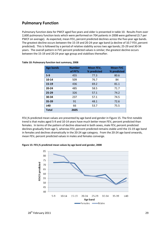### **Pulmonary Function**

Pulmonary function data for PWCF aged five years and older is presented in table 10. Results from over 2,600 pulmonary function tests which were performed on 704 patients in 2008 were gathered (3.7 per PWCF on average). As expected, mean  $FEV<sub>1</sub>$  percent predicted declines across the five-year age bands. The greatest decline occurs between the 15-19 and 20-24 year age band (a decline of 10.7 FEV<sub>1</sub> percent predicted). This is followed by a period of relative stability across two age bands; 25-29 and 30-34 years. The overall pattern in FVC percent predicted values is similar; the greatest decline occurs between the 15-19 and 20-24 year age group and stabilises thereafter.

| <b>Age bands</b> | <b>Number</b><br>of PFTs | Mean $FEV1$<br>% predicted | <b>Mean FVC</b><br>% predicted |
|------------------|--------------------------|----------------------------|--------------------------------|
| $5-9$            | 455                      | 77.3                       | 80.6                           |
| 10-14            | 509                      | 76.7                       | 84                             |
| $15 - 19$        | 436                      | 69.2                       | 81.1                           |
| $20 - 24$        | 485                      | 58.5                       | 71.7                           |
| $25 - 29$        | 326                      | 57.1                       | 74.2                           |
| 30-34            | 237                      | 57.1                       | 74.5                           |
| $35 - 39$        | 91                       | 48.1                       | 72.6                           |
| $\geq 40$        | 66                       | 53.7                       | 75.5                           |
| <b>Total</b>     | 2605                     |                            |                                |

FEV1% predicted mean values are presented by age band and gender in Figure 15. The first notable trend is that males aged 5-9 and 10-14 years have much better mean FEV<sub>1</sub> percent predicted than females. In terms of the pattern of decline observed in both sexes, male  $FEV<sub>1</sub>$  percent predicted declines gradually from age 5, whereas FEV<sub>1</sub> percent predicted remains stable until the 15-19 age band in females and declines dramatically in the 20-24 age category. From the 20-24 age band onwards, mean FEV<sub>1</sub> percent predicted values in males and females converge.

**Figure 15: FEV1% predicted mean values by age band and gender, 2008**

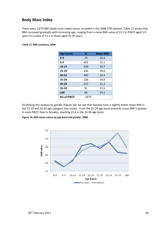### **Body Mass Index**

There were 2,679 BMI (body mass index) values recorded in the 2008 CFRI dataset. Table 11 shows that BMI increased gradually with increasing age, ranging from a mean BMI value of 15.1 in PWCF aged 5-9 years to a value of 21.5 in those aged 35-39 years.

#### **Table 11: BMI summary, 2008**

| <b>Age bands</b> | N    | <b>Mean BMI</b> |
|------------------|------|-----------------|
| $0 - 4$          | 74   | 16.4            |
| $5-9$            | 455  | 15.1            |
| $10 - 14$        | 509  | 16.7            |
| 15-19            | 436  | 19.6            |
| $20 - 24$        | 485  | 20.4            |
| $25 - 29$        | 326  | 19.9            |
| 30-34            | 237  | 21.2            |
| 35-39            | 91   | 21.5            |
| $\geq 40$        | 66   | 19.1            |
| No of PWCF       | 2679 |                 |

Stratifying this analysis by gender (Figure 16), we see that females have a slightly better mean BMI in the 15-19 and 20-24 age category than males. From the 25-29 age band onwards, mean BMI is greater in male PWCF than in females, reaching 23.4 in the 35-39 age band.

### **Figure 16: BMI mean values by age band and gender, 2008**

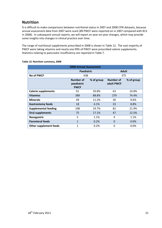### **Nutrition**

It is difficult to make comparisons between nutritional status in 2007 and 2008 CFRI datasets, because annual assessment data from 2007 were scant (89 PWCF were reported on in 2007 compared with 813 in 2008). In subsequent annual reports, we will report on year-on-year changes, which may provide some insights into changes in clinical practice over time.

The range of nutritional supplements prescribed in 2008 is shown in Table 12. The vast majority of PWCF were taking vitamins and nearly one fifth of PWCF were prescribed calorie supplements. Statistics relating to pancreatic insufficiency are reported in Table 7.

| <b>2008 Annual Assessment</b> |                                        |            |                         |            |  |
|-------------------------------|----------------------------------------|------------|-------------------------|------------|--|
|                               | Paediatric                             |            | <b>Adult</b>            |            |  |
| <b>No of PWCF</b>             | 438                                    |            | 375                     |            |  |
|                               | Number of<br>paediatric<br><b>PWCF</b> | % of group | Number of<br>adult PWCF | % of group |  |
| <b>Calorie supplements</b>    | 91                                     | 20.8%      | 63                      | 16.8%      |  |
| <b>Vitamins</b>               | 389                                    | 88.8%      | 279                     | 74.4%      |  |
| <b>Minerals</b>               | 49                                     | 11.2%      | 36                      | 9.6%       |  |
| <b>Gastrostomy feeds</b>      | 18                                     | 4.1%       | 33                      | 8.8%       |  |
| <b>Supplemental feeding</b>   | 108                                    | 24.7%      | 82                      | 21.9%      |  |
| <b>Oral supplements</b>       | 75                                     | 17.1%      | 47                      | 12.5%      |  |
| Nasogastric                   | 5                                      | 1.1%       | 4                       | 1.1%       |  |
| <b>Parenteral feeds</b>       | $\mathbf{1}$                           | 0.2%       | $\Omega$                | 0.0%       |  |
| <b>Other supplement feeds</b> | $\mathbf{1}$                           | 0.2%       | 0                       | $0.0\%$    |  |

### **Table 12: Nutrition summary, 2008**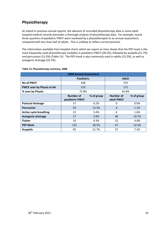## **Physiotherapy**

As stated in previous annual reports, the absence of recorded physiotherapy data in some adult hospital medical records precludes a thorough analysis of physiotherapy data. For example, nearly three-quarters of paediatric PWCF were reviewed by a physiotherapist at an annual assessment, compared with less than half of adults. This is unlikely to reflect current practice.

The information available from hospital charts which we report on here shows that the PEP mask is the most frequently used physiotherapy modality in paediatric PWCF (28.5%), followed by acapella (21.7%) and percussion (13.5%) (Table 13). The PEP mask is also commonly used in adults (12.5%), as well as autogenic drainage (10.7%).

| <b>2008 Annual Assessment</b> |                                            |       |                         |            |  |  |
|-------------------------------|--------------------------------------------|-------|-------------------------|------------|--|--|
|                               | Paediatric                                 |       | <b>Adult</b>            |            |  |  |
| No of PWCF                    | 438                                        |       | 375                     |            |  |  |
| PWCF seen by Physio at AA     | 319                                        |       | 171                     |            |  |  |
| % seen by Physio              | 72.8%                                      |       | 45.6%                   |            |  |  |
|                               | Number of<br>% of group<br>paediatric PWCF |       | Number of<br>adult PWCF | % of group |  |  |
| <b>Postural drainage</b>      | 27                                         | 6.2%  | 0                       | 0.0%       |  |  |
| <b>Percussion</b>             | 59                                         | 13.5% | $\overline{4}$          | 1.1%       |  |  |
| <b>Active cycle breathing</b> | 15                                         | 3.4%  | 6                       | 1.6%       |  |  |
| <b>Autogenic drainage</b>     | 17                                         | 3.9%  | 40                      | 10.7%      |  |  |
| <b>Flutter</b>                | 19                                         | 4.3%  | 15                      | 4.0%       |  |  |
| <b>PEP Mask</b>               | 125                                        | 28.5% | 47                      | 12.5%      |  |  |
| <b>Acapella</b>               | 95                                         | 21.7% | 27                      | 7.2%       |  |  |

#### **Table 13: Physiotherapy summary, 2008**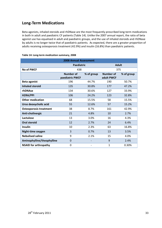### **Long-Term Medications**

Beta agonists, inhaled steroids and rhDNase are the most frequently prescribed long-term medications in both in adult and paediatric CF patients (Table 14). Unlike the 2007 annual report, the ratio of beta agonist use has equalised in adult and paediatric groups, and the use of inhaled steroids and rhDNase by adults is no longer twice that of paediatric patients. As expected, there are a greater proportion of adults receiving osteoporosis treatment (42.9%) and insulin (16.8%) than paediatric patients.

| <b>2008 Annual Assessment</b> |                                     |            |                                |            |  |  |
|-------------------------------|-------------------------------------|------------|--------------------------------|------------|--|--|
|                               | Paediatric                          |            | <b>Adult</b>                   |            |  |  |
| <b>No of PWCF</b>             | 438                                 |            | 375                            |            |  |  |
|                               | <b>Number of</b><br>paediatric PWCF | % of group | <b>Number of</b><br>adult PWCF | % of group |  |  |
| <b>Beta agonist</b>           | 196                                 | 44.7%      | 190                            | 50.7%      |  |  |
| <b>Inhaled steroid</b>        | 135                                 | 30.8%      | 177                            | 47.2%      |  |  |
| rhDNAse                       | 134                                 | 30.6%      | 127                            | 33.9%      |  |  |
| H2RA/PPI                      | 106                                 | 24.2%      | 123                            | 32.8%      |  |  |
| <b>Other medication</b>       | 68                                  | 15.5%      | 58                             | 15.5%      |  |  |
| Urso deoxycholic acid         | 55                                  | 12.6%      | 57                             | 15.2%      |  |  |
| <b>Osteoporosis treatment</b> | 38                                  | 8.7%       | 161                            | 42.9%      |  |  |
| Anti-cholinergic              | 21                                  | 4.8%       | 10                             | 2.7%       |  |  |
| Lactulose                     | 13                                  | 3.0%       | 16                             | 4.3%       |  |  |
| <b>Oral steroid</b>           | 12                                  | 2.7%       | 24                             | 6.4%       |  |  |
| <b>Insulin</b>                | 10                                  | 2.3%       | 63                             | 16.8%      |  |  |
| Night-time oxygen             | 3                                   | 0.7%       | 13                             | 3.5%       |  |  |
| <b>Nebulised saline</b>       | 9                                   | 2.1%       | 15                             | 4.0%       |  |  |
| Aminophylline/theophylline    | $\mathbf 0$                         |            | 9                              | 2.4%       |  |  |
| <b>NSAID for arthropathy</b>  | 0                                   |            | 1                              | 0.30%      |  |  |

#### **Table 14: Long-term medication summary, 2008**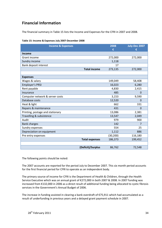## **Financial Information**

The financial summary in Table 15 lists the Income and Expenses for the CFRI in 2007 and 2008.

| <b>Income &amp; Expenses</b>     |                       | 2008<br>€ | July-Dec 2007<br>€ |
|----------------------------------|-----------------------|-----------|--------------------|
| <b>Income</b>                    |                       |           |                    |
| Grant income                     |                       | 272,000   | 272,000            |
| Sundry income                    |                       | 1,118     |                    |
| Bank deposit interest            |                       | 17        |                    |
|                                  | <b>Total income</b>   | 273,135   | 272,000            |
|                                  |                       |           |                    |
| <b>Expenses</b>                  |                       |           |                    |
| Wages & salary                   |                       | 149,049   | 58,408             |
| <b>Employer's PRSI</b>           |                       | 16,023    | 6,280              |
| Rent payable                     |                       | 4,830     | 2,415              |
| Insurance                        |                       | 485       | $\Omega$           |
| Computer network & server costs  |                       | 3,153     | 9,590              |
| Database costs                   |                       | 12,520    | $\overline{0}$     |
| Heat & light                     |                       | 662       | 331                |
| Repairs & maintenance            |                       | 431       | $\overline{0}$     |
| Printing, postage and stationary |                       | 13,086    | 2,381              |
| Travelling & subsistence         |                       | 13,547    | 2,049              |
| Audit                            |                       | 979       | 900                |
| <b>Bank charges</b>              |                       | 142       | $\overline{7}$     |
| Sundry expenses                  |                       | 554       | 25                 |
| Depreciation on equipment        |                       | 1,112     | 886                |
| Pre entry expenses               |                       | (30, 200) | 116,180            |
|                                  | <b>Total expenses</b> | 186,373   | 199,452            |
|                                  |                       |           |                    |
|                                  | (Deficit)/Surplus     | 86,762    | 72,548             |

### **Table 15: Income & Expenses July 2007-December 2008**

The following points should be noted:

The 2007 accounts are reported for the period July to December 2007. This six month period accounts for the first financial period for CFRI to operate as an independent body.

The primary source of income for CFRI is the Department of Health & Children, through the Health Service Executive which was an annual grant of €272,000 in both 2007 & 2008. In 2007 funding was increased from €132,000 in 2006 as a direct result of additional funding being allocated to cystic fibrosis services in the Government's Annual Budget of 2006.

The increase in funding assisted in clearing a bank overdraft of €75,911 which had accumulated as a result of underfunding in previous years and a delayed grant payment schedule in 2007.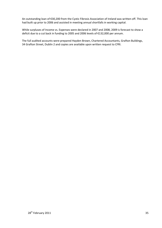An outstanding loan of €30,200 from the Cystic Fibrosis Association of Ireland was written off. This loan had built up prior to 2006 and assisted in meeting annual shortfalls in working capital.

While surpluses of Income vs. Expenses were declared in 2007 and 2008, 2009 is forecast to show a deficit due to a cut back in funding to 2005 and 2006 levels of €132,000 per annum.

The full audited accounts were prepared Hayden Brown, Chartered Accountants, Grafton Buildings, 34 Grafton Street, Dublin 2 and copies are available upon written request to CFRI.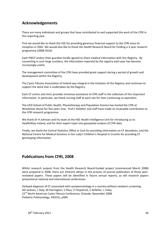### **Acknowledgements**

There are many individuals and groups that have contributed to and supported the work of the CFRI in this reporting year.

First we would like to thank the HSE for providing generous financial support to the CFRI since its inception in 2002. We would also like to thank the Health Research Board for funding a 3-year research programme (2008-2010).

Each PWCF and/or their guardian kindly agreed to share medical information with this Registry. By consenting in such large numbers, the information reported by the registry each year has become increasingly useful.

The management committee of the CFRI have provided great support during a period of growth and development within the Registry.

The Cystic Fibrosis Association of Ireland was integral in the initiation of this Registry and continues to support the work that is undertaken by the Registry.

Each CF centre and clinic provides immense assistance to CFRI staff in the collection of this important information. In particular, we thank nursing staff at each site for their continuing co-operation.

The UCD School of Public Health, Physiotherapy and Population Science has hosted the CFRI at Woodview House for five years now. Prof C Kelleher and staff have made an invaluable contribution to the CFRI research programme.

We thank Dr H Johnson and his team at the HSE Health Intelligence Unit for introducing us to HealthAtlas Ireland, and for their expert input into geospatial analysis of CFRI data.

Finally, we thank the Central Statistics Office in Cork for providing information on CF decedents, and the National Centre for Medical Genetics in Our Lady's Children's Hospital in Crumlin for providing CF genotyping information.

### **Publications from CFRI, 2008**

Whilst research outputs from the Health Research Board-funded project (commenced March 2008) were prepared in 2008, there are inherent delays in the process of journal publication of those peerreviewed papers. These papers will be identified in future annual reports, as will research papers presented at national and international conferences.

Delayed diagnosis of CF associated with symptomatology in a country without newborn screening. AD Jackson, L Daly, M Harrington, S Zhou, P Fitzpatrick, C Kelleher, L Foley. 22<sup>nd</sup> North American Cystic Fibrosis Conference, Orlando, November 2008. Pediatric Pulmonology, 43(S31), p404.